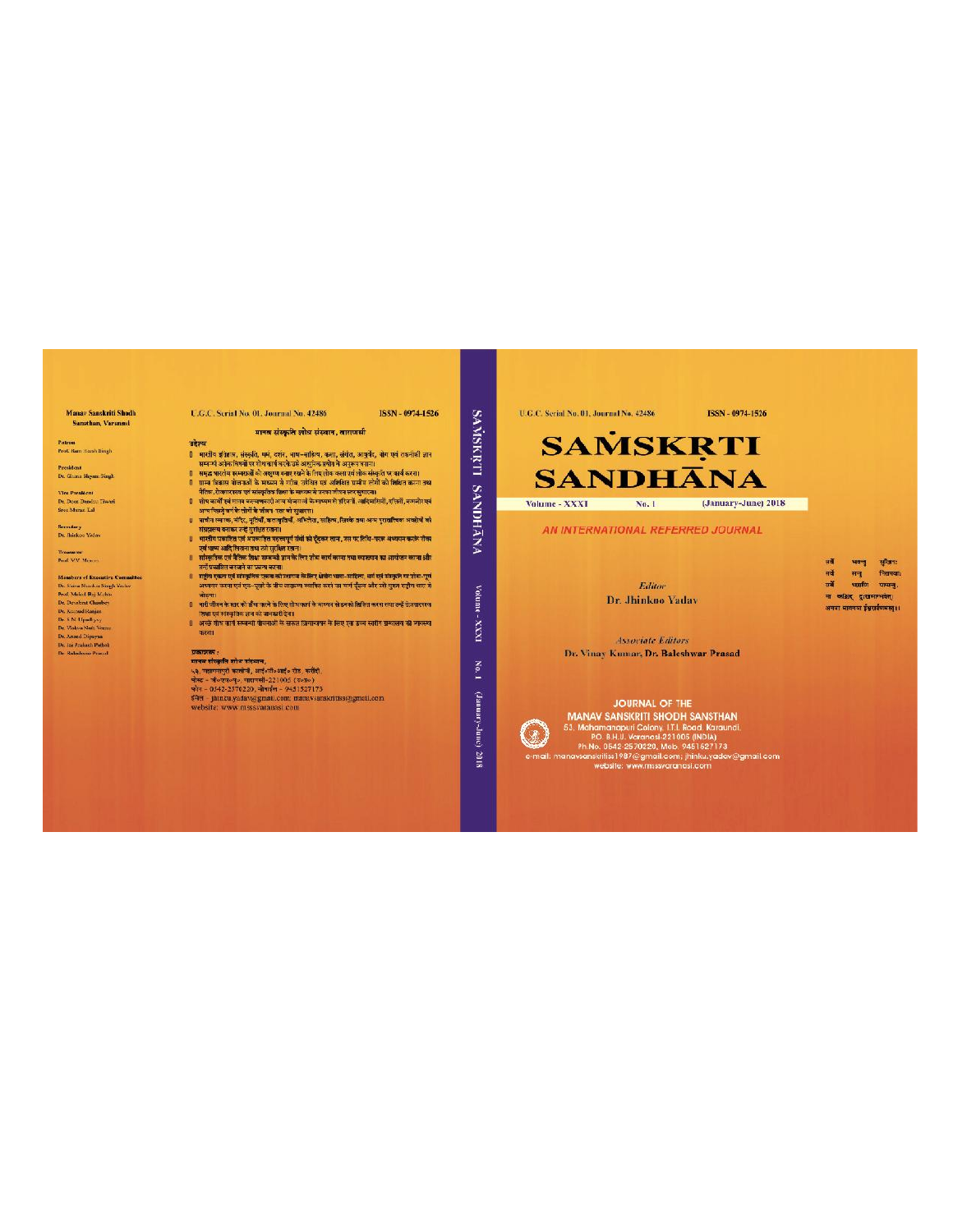#### Manay Sanskriti Shadh Sansthan, Varanasi

**Patron**<br>Prof. Ram Harsh Singh

President<br>Dr. Ghana Shyam Singh

Vice President<br>Dr. Dect Banden Thom<br>Stee Muran Lal

Seredary<br>Dr. Jhinkoo Yaday

Treasurer<br>Poif, V.V. Mercey

Manderro ef Executive Committee<br>Dr. Saves Standar Sungh Valato<br>Prof. Maiola II Sungh Valato<br>Dr. Dezelent Chaubey<br>Dr. Manna Bonin<br>Dr. Naval (Saving)<br>Dr. Vistos Auti, Verma<br>Dr. Naval Gingariyo<br>Dr. Naval Gingariyo<br>Dr. Naval

U.G.C. Serial No. 01. Journal No. 42486 ISSN - 0974-1526

मानव संस्कृति शोध संस्थान, वाराणसी

- 
- 
- 
- 
- 
- 
- उत्तेष्ट्रेण्य<br>1 भारतीय क्षेत्रांत स्व संस्कृति, मर्मन, दशन, भाष-भाष्टित, कला, कोशि, आयुर्वेद, खेग एवं तकनीकी ज्ञान<br>मुम्बर भारतीय क्षेत्रफार्क के अध्ययन करके उसे आयुर्वेक कथीन के अनुस्थान काम के समय को तकनीकी ज्ञान<br>1 भाष-
- ्।<br>विश्वविद्यालय के स्तर को ऊँचा करने के लिए शीध कार्य के माध्यम से डनको शिक्षित करना लया उन्हें रोजगारपरक
- रिक्स एवं संस्कृतिक जन्म कार काटद शाथ काप के माध्यम से इनकी ब्रिटिश करना तथा दन्हें रोजग्राप्सरक<br>- जिसमें पर संस्कृतिक जान को जानकारी देना।<br>- करना।<br>- करना।

बरेश्य

**प्रकाशक :**<br>भाषक संस्कृति शोध संस्थाप,<br>५३. पदानमपुरी कालें में, आरंश्तीश्शक्तिं रोड, करीदी,<br>पोस्ट – बॉल्श्यलम्), पदामसी-221005 (उल्जल)<br>फोन – 0542-2570200, नोपार्ट्स – 9451527173<br>मैंनेत्र – jinnku yadav@gmail.com; mansvsa

U.G.C. Serial No. 01, Journal No. 42486

**SAMSKRTI** 

**SANDHANA** 

Volume

 $max-$ 

 $_{\rm No,1}$ 

(annuary-dunc)

2018

ISSN - 0974-1526

(January-June) 2018

## **SAMSKRTI SANDHANA**

Volume - XXXI No. 1

AN INTERNATIONAL REFERRED JOURNAL

Fditor

Dr. Jhinkoo Yadav

| सर्वे | पर ज                      | साखन:   |
|-------|---------------------------|---------|
| सर्व  | मन                        | निसमयाः |
| सर्वे | भारतीय                    | पश्यन,  |
|       | मा व्यक्षित द्वारामानवत्। |         |

**Associate Editors** Dr. Vinay Kumar, Dr. Baleshwar Prasad

 $\mathbb{Q}_2$ 

JOURNAL OF THE JOURNAL OF THE<br>
MANAY SANSKRITI SHODH SANSTHAN<br>
53, Mahamanapuri Colony UTJ. Road, Karaundi.<br>
PP. B.H.U. Veranasi-221005 (INDIA)<br>
PR.No. 0542-2570220, Mob. 9451527173<br>
PR.No. 0542-2570220, Mob. 9451527173<br>
manavarskritis: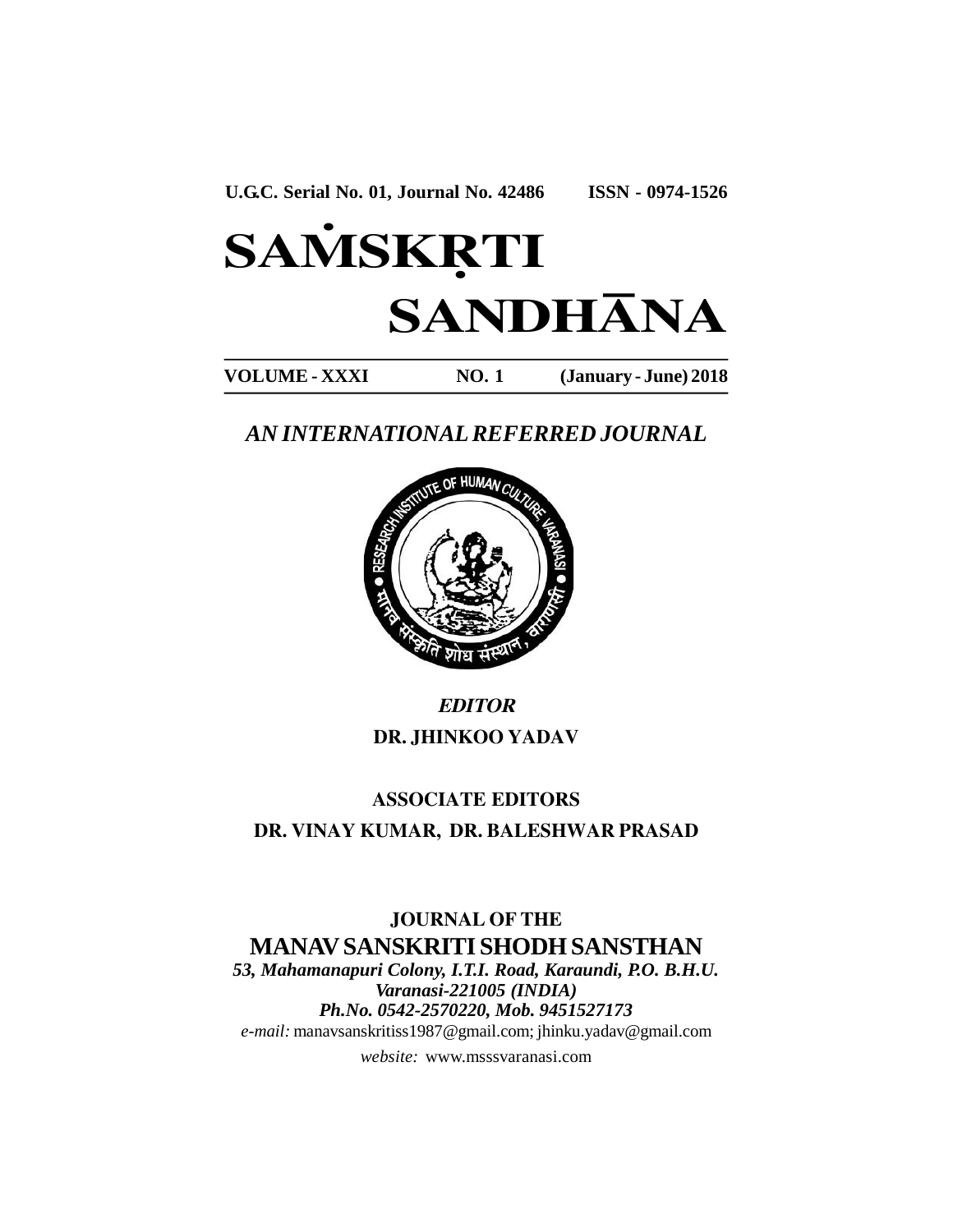# **SAMSKRTI SANDHÀNA**

**VOLUME - XXXI NO. 1 (January - June) 2018**

## *AN INTERNATIONAL REFERRED JOURNAL*



## *EDITOR* **DR. JHINKOO YADAV**

## **ASSOCIATE EDITORS DR. VINAY KUMAR, DR. BALESHWAR PRASAD**

### **JOURNAL OF THE MANAV SANSKRITI SHODH SANSTHAN** *53, Mahamanapuri Colony, I.T.I. Road, Karaundi, P.O. B.H.U.*

*Varanasi-221005 (INDIA) Ph.No. 0542-2570220, Mob. 9451527173 e-mail:* manavsanskritiss1987@gmail.com; jhinku.yadav@gmail.com

*website:* www.msssvaranasi.com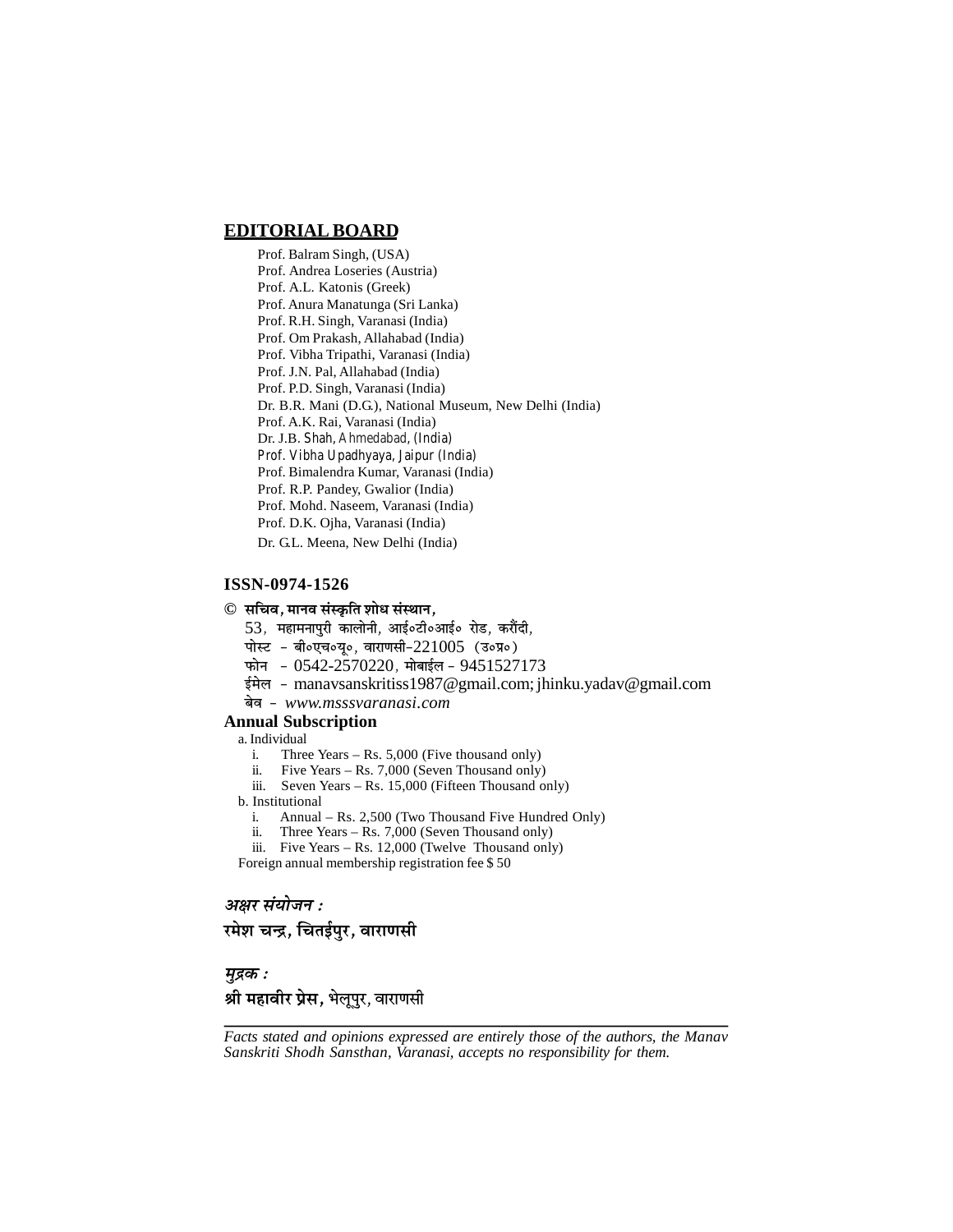#### **EDITORIAL BOARD**

Prof. Balram Singh, (USA) Prof. Andrea Loseries (Austria) Prof. A.L. Katonis (Greek) Prof. Anura Manatunga (Sri Lanka) Prof. R.H. Singh, Varanasi (India) Prof. Om Prakash, Allahabad (India) Prof. Vibha Tripathi, Varanasi (India) Prof. J.N. Pal, Allahabad (India) Prof. P.D. Singh, Varanasi (India) Dr. B.R. Mani (D.G.), National Museum, New Delhi (India) Prof. A.K. Rai, Varanasi (India) Dr. J.B. Shah, Ahmedabad, (India) Prof. Vibha Upadhyaya, Jaipur (India) Prof. Bimalendra Kumar, Varanasi (India) Prof. R.P. Pandey, Gwalior (India) Prof. Mohd. Naseem, Varanasi (India) Prof. D.K. Ojha, Varanasi (India) Dr. G.L. Meena, New Delhi (India)

#### **ISSN-0974-1526**

#### $\odot$  सचिव, मानव संस्कृति शोध संस्थान,

- $53$ , महामनापुरी कालोनी, आई०टी०आई० रोड, करौंदी,
- पोस्ट बी०एच०यू०, वाराणसी- $221005$  (उ०प्र०)
- फोन 0542-2570220, मोबाईल 9451527173
- ईमेल manavsanskritiss1987@gmail.com; jhinku.yadav@gmail.com
- yesJe *www.msssvaranasi.com*

#### **Annual Subscription**

- a. Individual
	- i. Three Years Rs. 5,000 (Five thousand only)
	- ii. Five Years Rs. 7,000 (Seven Thousand only)
	- iii. Seven Years Rs. 15,000 (Fifteen Thousand only)
- b. Institutional
	- i. Annual Rs. 2,500 (Two Thousand Five Hundred Only)
	- ii. Three Years Rs. 7,000 (Seven Thousand only)
	- iii. Five Years Rs. 12,000 (Twelve Thousand only)

Foreign annual membership registration fee \$ 50

#### *अक्षर संयोजन :*

**रमेश चन्द्र, चितईपुर, वाराणसी** 

*cegõkeâ :*

### **श्री महावीर प्रेस,** भेलूपुर, वाराणसी

*Facts stated and opinions expressed are entirely those of the authors, the Manav Sanskriti Shodh Sansthan, Varanasi, accepts no responsibility for them.*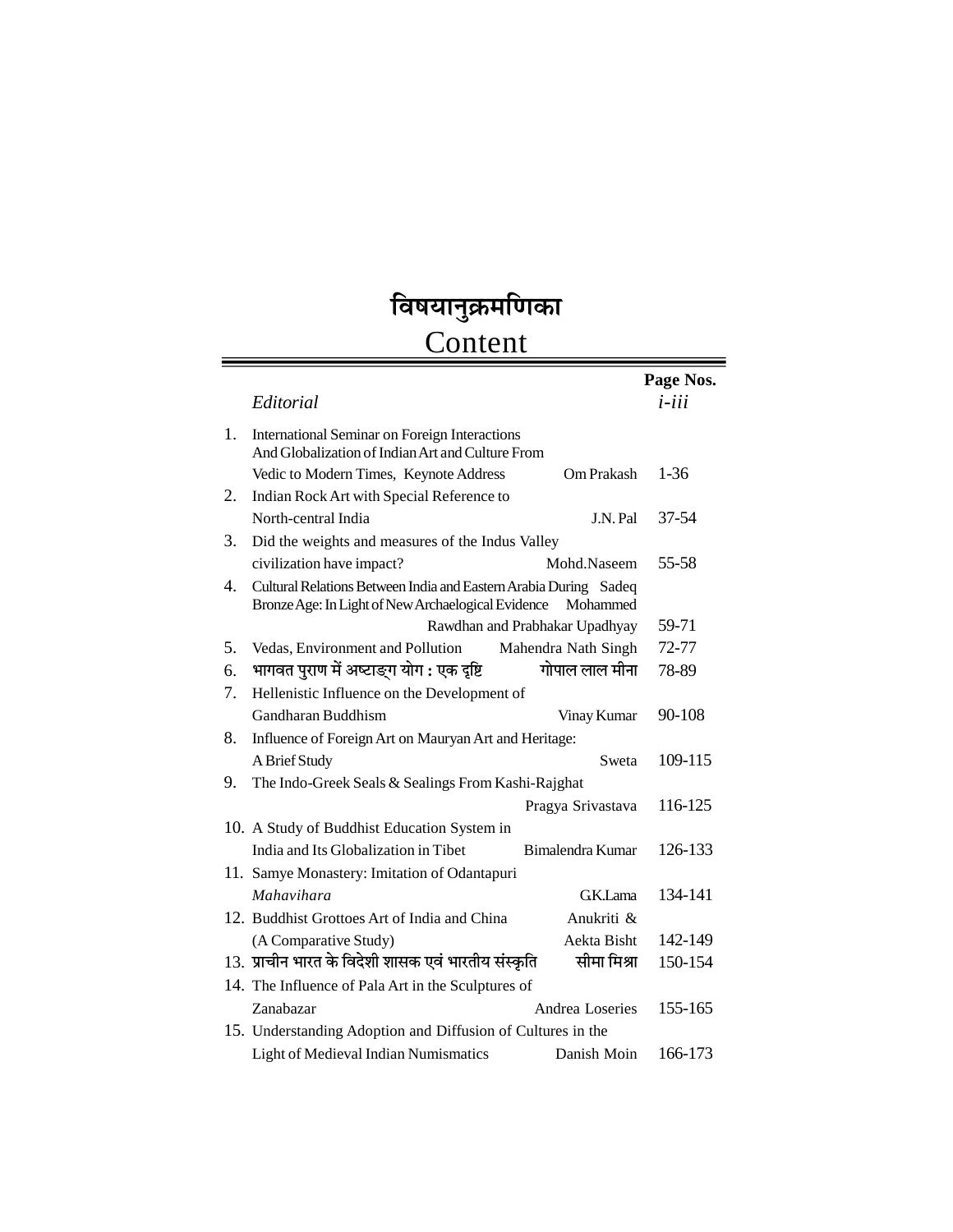## विषयानुक्रमणिका

## Content

|    |                                                                                                                                    | Page Nos. |  |  |
|----|------------------------------------------------------------------------------------------------------------------------------------|-----------|--|--|
|    | Editorial                                                                                                                          | $i$ -iii  |  |  |
| 1. | International Seminar on Foreign Interactions<br>And Globalization of Indian Art and Culture From                                  |           |  |  |
|    | Vedic to Modern Times, Keynote Address<br>Om Prakash                                                                               | $1-36$    |  |  |
| 2. | Indian Rock Art with Special Reference to                                                                                          |           |  |  |
|    | North-central India<br>J.N. Pal                                                                                                    | 37-54     |  |  |
| 3. | Did the weights and measures of the Indus Valley                                                                                   |           |  |  |
|    | civilization have impact?<br>Mohd.Naseem                                                                                           | 55-58     |  |  |
| 4. | Cultural Relations Between India and Eastern Arabia During Sadeq<br>Bronze Age: In Light of New Archaelogical Evidence<br>Mohammed |           |  |  |
|    | Rawdhan and Prabhakar Upadhyay                                                                                                     | 59-71     |  |  |
| 5. | Mahendra Nath Singh<br>Vedas, Environment and Pollution                                                                            | 72-77     |  |  |
| 6. | भागवत पुराण में अष्टाङ्ग योग : एक दृष्टि<br>गोपाल लाल मीना                                                                         | 78-89     |  |  |
| 7. | Hellenistic Influence on the Development of                                                                                        |           |  |  |
|    | Gandharan Buddhism<br>Vinay Kumar                                                                                                  | 90-108    |  |  |
| 8. | Influence of Foreign Art on Mauryan Art and Heritage:                                                                              |           |  |  |
|    | A Brief Study<br>Sweta                                                                                                             | 109-115   |  |  |
| 9. | The Indo-Greek Seals & Sealings From Kashi-Rajghat                                                                                 |           |  |  |
|    | Pragya Srivastava                                                                                                                  | 116-125   |  |  |
|    | 10. A Study of Buddhist Education System in                                                                                        |           |  |  |
|    | India and Its Globalization in Tibet<br>Bimalendra Kumar                                                                           | 126-133   |  |  |
|    | 11. Samye Monastery: Imitation of Odantapuri                                                                                       |           |  |  |
|    | Mahavihara<br>GK.Lama                                                                                                              | 134-141   |  |  |
|    | 12. Buddhist Grottoes Art of India and China<br>Anukriti &                                                                         |           |  |  |
|    | (A Comparative Study)<br>Aekta Bisht                                                                                               | 142-149   |  |  |
|    | 13. प्राचीन भारत के विदेशी शासक एवं भारतीय संस्कृति<br>सीमा मिश्रा                                                                 | 150-154   |  |  |
|    | 14. The Influence of Pala Art in the Sculptures of                                                                                 |           |  |  |
|    | Zanabazar<br>Andrea Loseries                                                                                                       | 155-165   |  |  |
|    | 15. Understanding Adoption and Diffusion of Cultures in the                                                                        |           |  |  |
|    | Light of Medieval Indian Numismatics<br>Danish Moin                                                                                | 166-173   |  |  |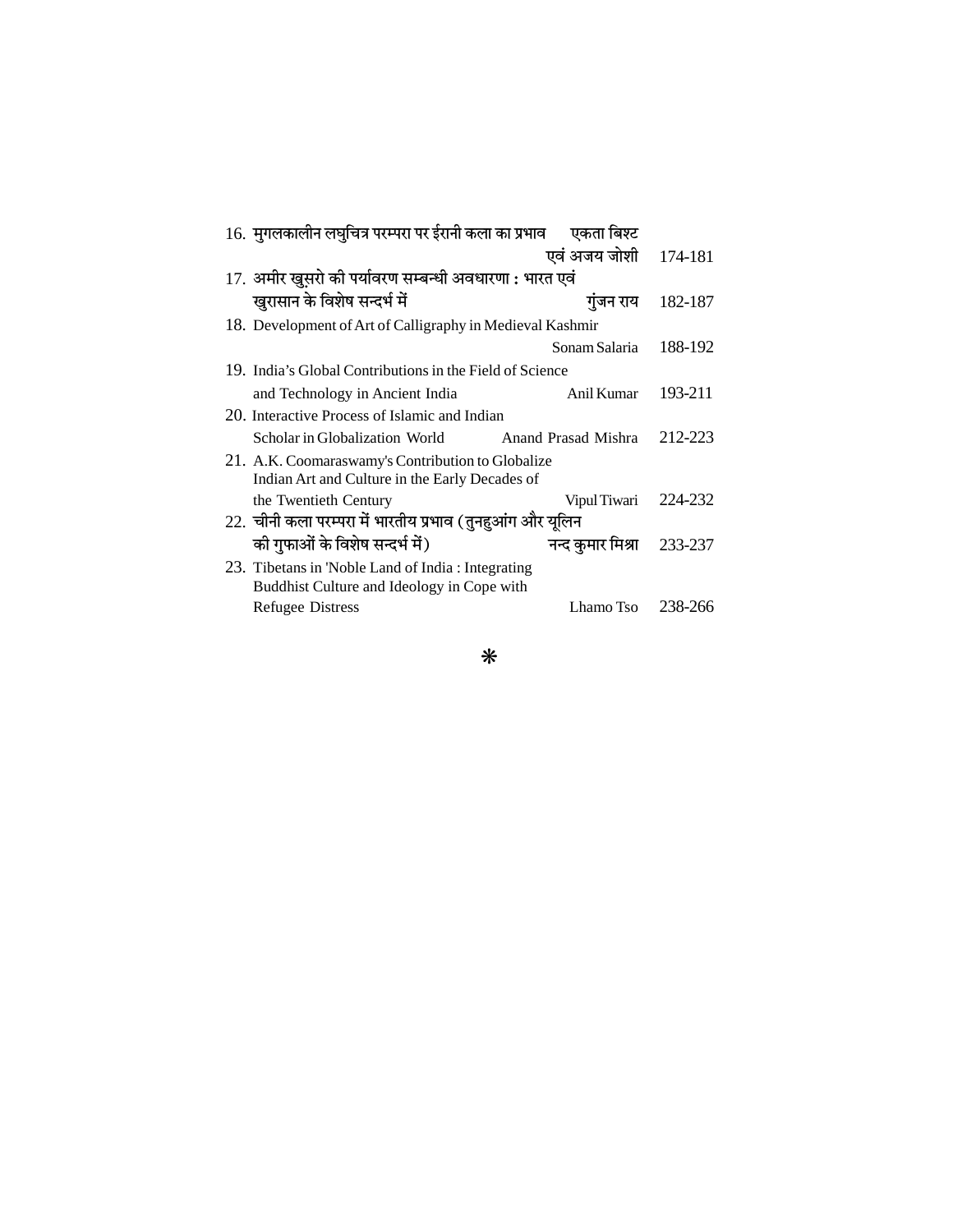| 16. मुगलकालीन लघुचित्र परम्परा पर ईरानी कला का प्रभाव एकता बिश्ट                                    |                           |         |
|-----------------------------------------------------------------------------------------------------|---------------------------|---------|
|                                                                                                     | एवं अजय जोशी              | 174-181 |
| 17. अमीर खुसरो की पर्यावरण सम्बन्धी अवधारणा : भारत एवं                                              |                           |         |
| खुरासान के विशेष सन्दर्भ में                                                                        | गुंजन राय                 | 182-187 |
| 18. Development of Art of Calligraphy in Medieval Kashmir                                           |                           |         |
|                                                                                                     | Sonam Salaria             | 188-192 |
| 19. India's Global Contributions in the Field of Science                                            |                           |         |
| and Technology in Ancient India                                                                     | Anil Kumar                | 193-211 |
| 20. Interactive Process of Islamic and Indian                                                       |                           |         |
| Scholar in Globalization World                                                                      | Anand Prasad Mishra       | 212-223 |
| 21. A.K. Coomaraswamy's Contribution to Globalize<br>Indian Art and Culture in the Early Decades of |                           |         |
| the Twentieth Century                                                                               | Vipul Tiwari              | 224-232 |
| 22. चीनी कला परम्परा में भारतीय प्रभाव (तुनहुआंग और यूलिन                                           |                           |         |
| की गुफाओं के विशेष सन्दर्भ में)                                                                     | नन्द कुमार मिश्रा 233-237 |         |
| 23. Tibetans in 'Noble Land of India: Integrating<br>Buddhist Culture and Ideology in Cope with     |                           |         |
| <b>Refugee Distress</b>                                                                             | Lhamo Tso $238-266$       |         |
|                                                                                                     |                           |         |

 $\ast$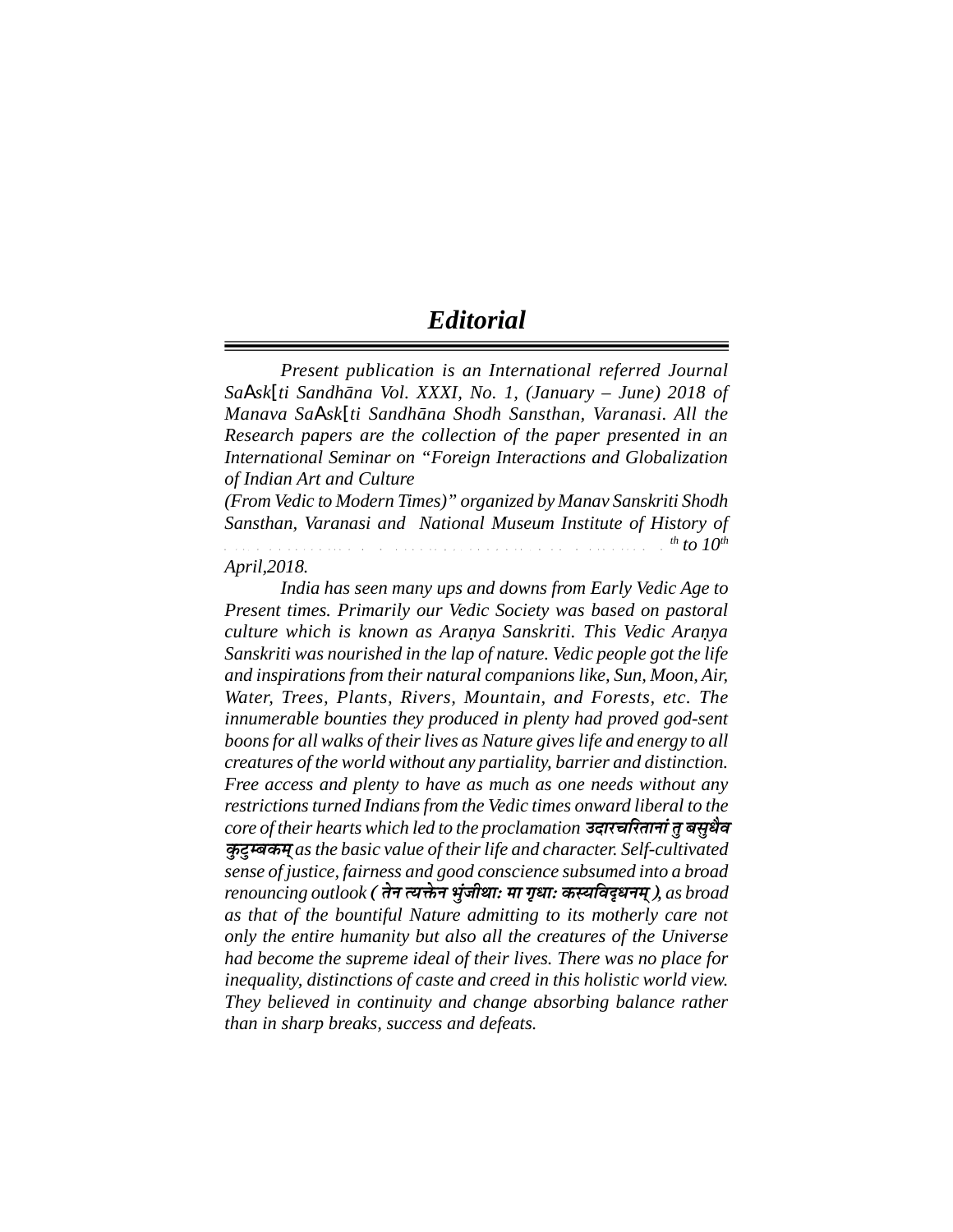## *Editorial*

*Present publication is an International referred Journal SaAsk[ti Sandhāna Vol. XXXI, No. 1, (January – June) 2018 of Manava SaAsk[ti Sandhāna Shodh Sansthan, Varanasi. All the Research papers are the collection of the paper presented in an International Seminar on "Foreign Interactions and Globalization of Indian Art and Culture*

*(From Vedic to Modern Times)" organized by Manav Sanskriti Shodh Sansthan, Varanasi and National Museum Institute of History of*  $A$  r t  $A$  to 10<sup>th</sup> to 10<sup>th</sup>

#### *April,2018.*

*India has seen many ups and downs from Early Vedic Age to Present times. Primarily our Vedic Society was based on pastoral culture which is known as Aranya Sanskriti. This Vedic Aranya* . .*Sanskriti was nourished in the lap of nature. Vedic people got the life and inspirations from their natural companions like, Sun, Moon, Air, Water, Trees, Plants, Rivers, Mountain, and Forests, etc. The innumerable bounties they produced in plenty had proved god-sent boons for all walks of their lives as Nature gives life and energy to all creatures of the world without any partiality, barrier and distinction. Free access and plenty to have as much as one needs without any restrictions turned Indians from the Vedic times onward liberal to the core of their hearts which led to the proclamation GoejÛeefjleeveeb leg yemegOewJe* **कुटम्बकम** as the basic value of their life and character. Self-cultivated *sense of justice, fairness and good conscience subsumed into a broad renouncing outlook (lesve lÙeòesâve YegbpeerLeeŠ cee ie=OeeŠ keâmÙeefJeÂOeveced), as broad as that of the bountiful Nature admitting to its motherly care not only the entire humanity but also all the creatures of the Universe had become the supreme ideal of their lives. There was no place for inequality, distinctions of caste and creed in this holistic world view. They believed in continuity and change absorbing balance rather than in sharp breaks, success and defeats.*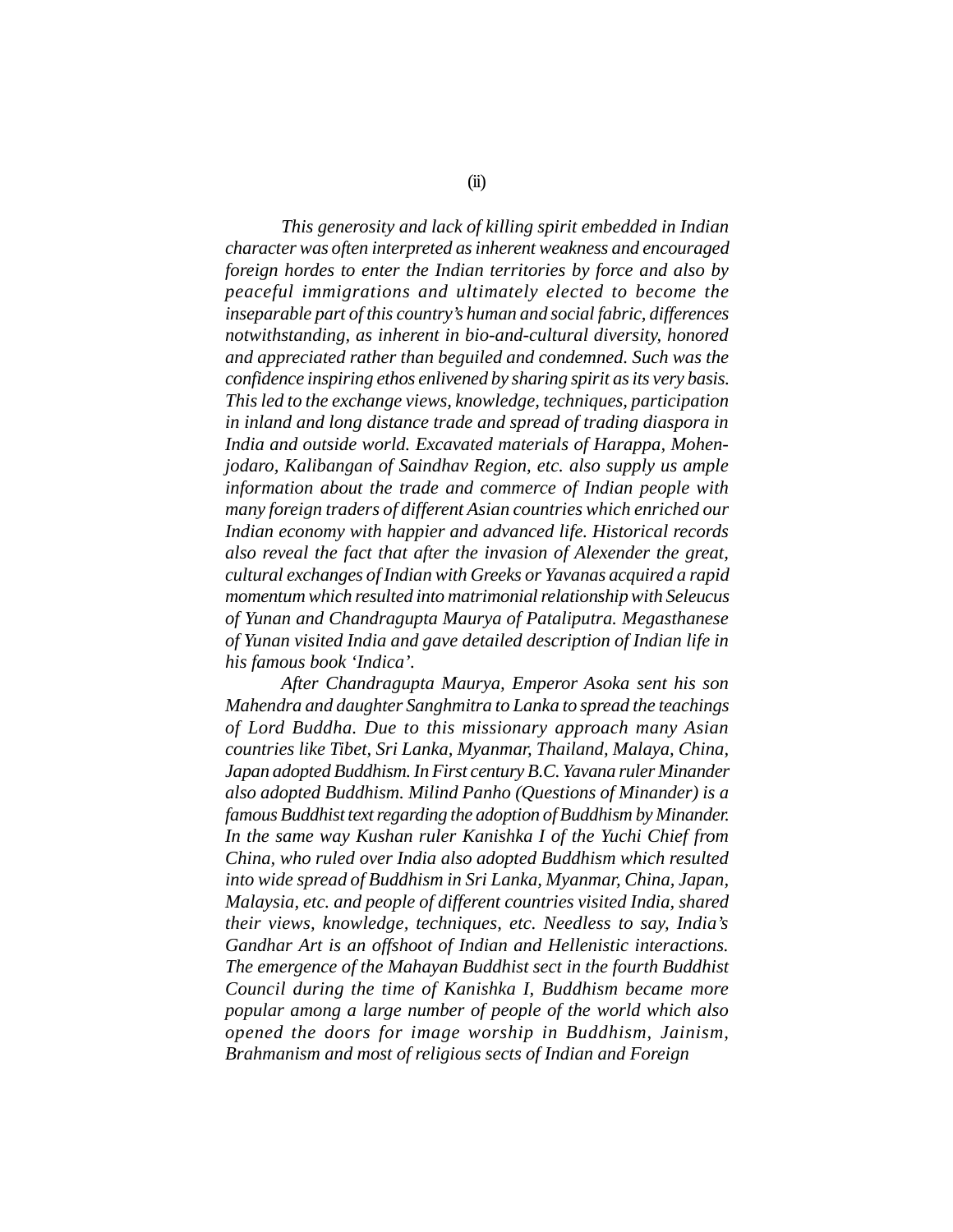*This generosity and lack of killing spirit embedded in Indian character was often interpreted as inherent weakness and encouraged foreign hordes to enter the Indian territories by force and also by peaceful immigrations and ultimately elected to become the inseparable part of this country's human and social fabric, differences notwithstanding, as inherent in bio-and-cultural diversity, honored and appreciated rather than beguiled and condemned. Such was the confidence inspiring ethos enlivened by sharing spirit as its very basis. This led to the exchange views, knowledge, techniques, participation in inland and long distance trade and spread of trading diaspora in India and outside world. Excavated materials of Harappa, Mohenjodaro, Kalibangan of Saindhav Region, etc. also supply us ample information about the trade and commerce of Indian people with many foreign traders of different Asian countries which enriched our Indian economy with happier and advanced life. Historical records also reveal the fact that after the invasion of Alexender the great, cultural exchanges of Indian with Greeks or Yavanas acquired a rapid momentum which resulted into matrimonial relationship with Seleucus of Yunan and Chandragupta Maurya of Pataliputra. Megasthanese of Yunan visited India and gave detailed description of Indian life in his famous book 'Indica'.*

*After Chandragupta Maurya, Emperor Asoka sent his son Mahendra and daughter Sanghmitra to Lanka to spread the teachings of Lord Buddha. Due to this missionary approach many Asian countries like Tibet, Sri Lanka, Myanmar, Thailand, Malaya, China, Japan adopted Buddhism. In First century B.C. Yavana ruler Minander also adopted Buddhism. Milind Panho (Questions of Minander) is a famous Buddhist text regarding the adoption of Buddhism by Minander. In the same way Kushan ruler Kanishka I of the Yuchi Chief from China, who ruled over India also adopted Buddhism which resulted into wide spread of Buddhism in Sri Lanka, Myanmar, China, Japan, Malaysia, etc. and people of different countries visited India, shared their views, knowledge, techniques, etc. Needless to say, India's Gandhar Art is an offshoot of Indian and Hellenistic interactions. The emergence of the Mahayan Buddhist sect in the fourth Buddhist Council during the time of Kanishka I, Buddhism became more popular among a large number of people of the world which also opened the doors for image worship in Buddhism, Jainism, Brahmanism and most of religious sects of Indian and Foreign*